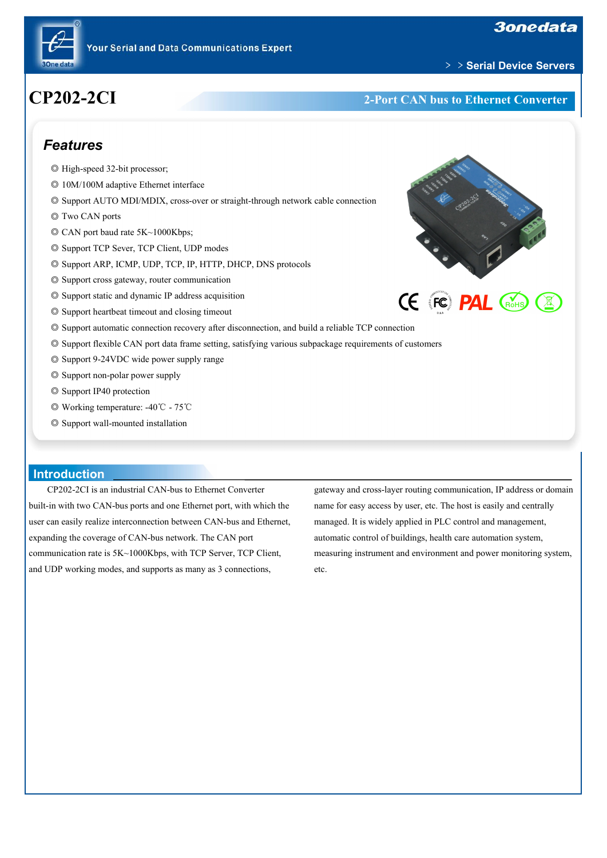



#### ﹥﹥**Serial Device Servers**

# **CP202-2CI 2-Port CAN bus to Ethernet Converter**

### *Features*

- ◎ High-speed 32-bit processor;
- ◎ 10M/100M adaptive Ethernet interface
- ◎ Support AUTO MDI/MDIX, cross-over or straight-through network cable connection
- ◎ Two CAN ports
- ◎ CAN port baud rate 5K~1000Kbps;
- ◎ Support TCP Sever, TCP Client, UDP modes
- ◎ Support ARP, ICMP, UDP, TCP, IP, HTTP, DHCP, DNS protocols
- ◎ Support cross gateway, router communication
- ◎ Support static and dynamic IP address acquisition
- ◎ Support heartbeat timeout and closing timeout
- ◎ Support automatic connection recovery after disconnection, and build a reliable TCP connection
- ◎ Support flexible CAN port data frame setting, satisfying various subpackage requirements ofcustomers
- ◎ Support 9-24VDC wide power supply range
- ◎ Support non-polar power supply
- ◎ Support IP40 protection
- ◎ Working temperature: -40℃ 75℃
- ◎ Support wall-mounted installation

### **Introduction**

CP202-2CI is an industrial CAN-bus to Ethernet Converter built-in with two CAN-bus ports and one Ethernet port, with which the user can easily realize interconnection between CAN-bus and Ethernet, expanding the coverage of CAN-bus network. The CAN port communication rate is 5K~1000Kbps, with TCP Server, TCP Client, and UDP working modes, and supports as many as 3 connections,

gateway and cross-layer routing communication, IP address or domain name for easy access by user, etc. The host is easily and centrally managed. It is widely applied in PLC control and management, automatic control of buildings, health care automation system, measuring instrument and environment and power monitoring system, etc.



**CE FC PAL CROHS**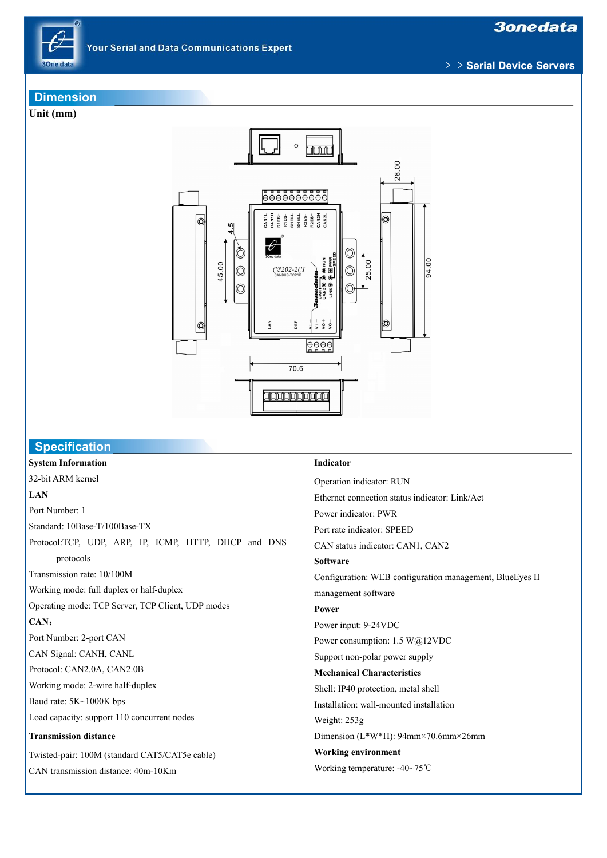

**3onedata** 

﹥﹥**Serial Device Servers**

#### **Dimension**

**Unit (mm)**



### **Specification**

**System Information** 32-bit ARM kernel **LAN** Port Number: 1 Standard: 10Base-T/100Base-TX Protocol:TCP, UDP, ARP, IP, ICMP, HTTP, DHCP and DNS protocols Transmission rate: 10/100M Working mode: full duplex or half-duplex Operating mode: TCP Server, TCP Client, UDP modes **CAN**: Port Number: 2-port CAN CAN Signal: CANH, CANL Protocol: CAN2.0A, CAN2.0B Working mode: 2-wire half-duplex Baud rate: 5K~1000K bps Load capacity: support 110 concurrent nodes **Transmission distance** Twisted-pair: 100M (standard CAT5/CAT5e cable) CAN transmission distance: 40m-10Km

#### **Indicator**

Operation indicator: RUN Ethernet connection status indicator: Link/Act Power indicator: PWR Port rate indicator: SPEED CAN status indicator: CAN1, CAN2 **Software** Configuration: WEB configuration management, BlueEyes II management software **Power** Power input: 9-24VDC Power consumption: 1.5 W@12VDC Support non-polar power supply **Mechanical Characteristics** Shell: IP40 protection, metal shell Installation: wall-mounted installation Weight: 253g Dimension (L\*W\*H): 94mm×70.6mm×26mm **Working environment** Working temperature: -40~75℃